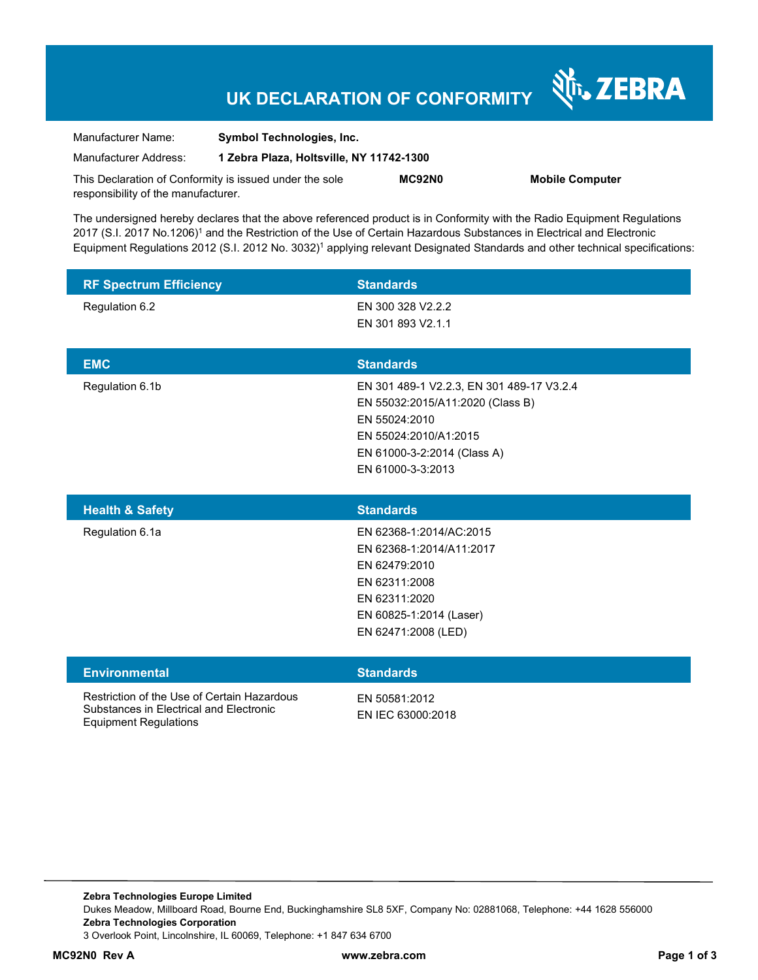# **UK DECLARATION OF CONFORMITY**

Nr. ZEBRA

| Manufacturer Name:                                      | <b>Symbol Technologies, Inc.</b>         |        |                        |
|---------------------------------------------------------|------------------------------------------|--------|------------------------|
| Manufacturer Address:                                   | 1 Zebra Plaza, Holtsville, NY 11742-1300 |        |                        |
| This Declaration of Conformity is issued under the sole |                                          | MC92N0 | <b>Mobile Computer</b> |
| responsibility of the manufacturer.                     |                                          |        |                        |

The undersigned hereby declares that the above referenced product is in Conformity with the Radio Equipment Regulations 2017 (S.I. 2017 No.1206)<sup>1</sup> and the Restriction of the Use of Certain Hazardous Substances in Electrical and Electronic Equipment Regulations 2012 (S.I. 2012 No. 3032)<sup>1</sup> applying relevant Designated Standards and other technical specifications:

| <b>RF Spectrum Efficiency</b> | <b>Standards</b>                          |
|-------------------------------|-------------------------------------------|
| Regulation 6.2                | EN 300 328 V2.2.2                         |
|                               | EN 301 893 V2.1.1                         |
|                               |                                           |
| <b>EMC</b>                    | <b>Standards</b>                          |
| Regulation 6.1b               | EN 301 489-1 V2.2.3, EN 301 489-17 V3.2.4 |
|                               | EN 55032:2015/A11:2020 (Class B)          |
|                               | EN 55024:2010                             |
|                               | EN 55024:2010/A1:2015                     |
|                               | EN 61000-3-2:2014 (Class A)               |
|                               | EN 61000-3-3:2013                         |

| <b>Health &amp; Safety</b> | <b>Standards</b>         |
|----------------------------|--------------------------|
| Regulation 6.1a            | EN 62368-1:2014/AC:2015  |
|                            | EN 62368-1:2014/A11:2017 |
|                            | EN 62479:2010            |
|                            | EN 62311:2008            |
|                            | EN 62311:2020            |
|                            | EN 60825-1:2014 (Laser)  |
|                            | EN 62471:2008 (LED)      |
|                            |                          |

#### **Environmental Standards**

Restriction of the Use of Certain Hazardous Substances in Electrical and Electronic Equipment Regulations

EN 50581:2012 EN IEC 63000:2018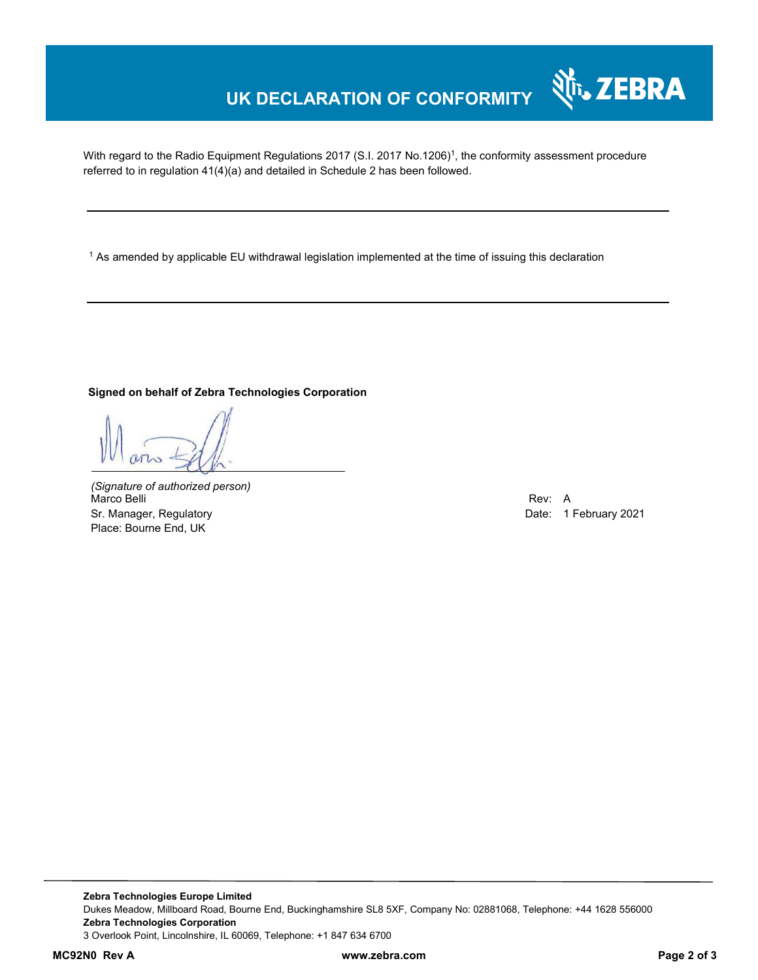# **UK DECLARATION OF CONFORMITY**

With regard to the Radio Equipment Regulations 2017 (S.I. 2017 No.1206)<sup>1</sup>, the conformity assessment procedure referred to in regulation 41(4)(a) and detailed in Schedule 2 has been followed.

 $^{\rm 1}$  As amended by applicable EU withdrawal legislation implemented at the time of issuing this declaration

#### **Signed on behalf of Zebra Technologies Corporation**

*(Signature of authorized person)* Marco Belli Rev: A Sr. Manager, Regulatory Date: 1 February 2021 Place: Bourne End, UK

र्शे<sub>ि</sub> ZEBRA

**Zebra Technologies Europe Limited**  Dukes Meadow, Millboard Road, Bourne End, Buckinghamshire SL8 5XF, Company No: 02881068, Telephone: +44 1628 556000 **Zebra Technologies Corporation**  3 Overlook Point, Lincolnshire, IL 60069, Telephone: +1 847 634 6700